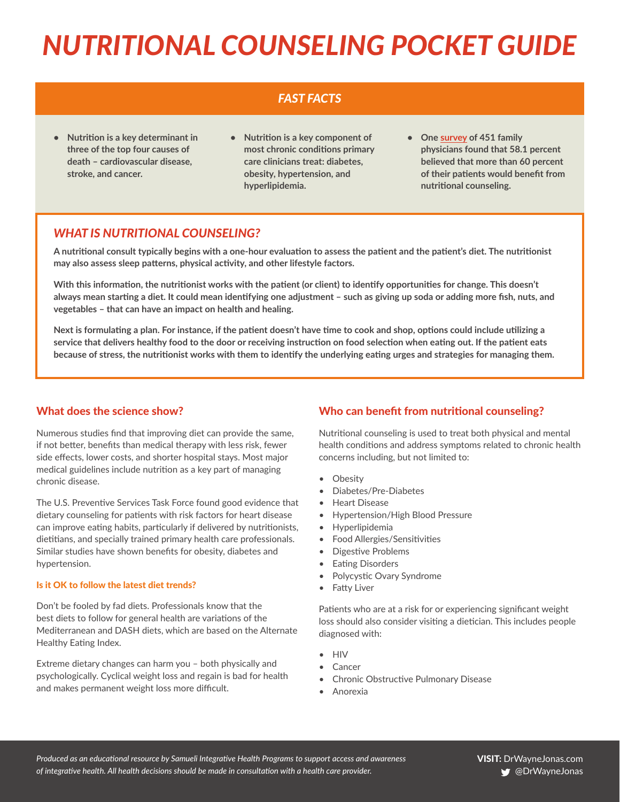# *NUTRITIONAL COUNSELING POCKET GUIDE*

## *FAST FACTS*

- **• Nutrition is a key determinant in three of the top four causes of death – cardiovascular disease, stroke, and cancer.**
- **• Nutrition is a key component of most chronic conditions primary care clinicians treat: diabetes, obesity, hypertension, and hyperlipidemia.**
- **• One [survey](http://www.cfp.ca/content/56/3/e109.long) of 451 family physicians found that 58.1 percent believed that more than 60 percent of their patients would benefit from nutritional counseling.**

### *WHAT IS NUTRITIONAL COUNSELING?*

**A nutritional consult typically begins with a one-hour evaluation to assess the patient and the patient's diet. The nutritionist may also assess sleep patterns, physical activity, and other lifestyle factors.** 

**With this information, the nutritionist works with the patient (or client) to identify opportunities for change. This doesn't always mean starting a diet. It could mean identifying one adjustment – such as giving up soda or adding more fish, nuts, and vegetables – that can have an impact on health and healing.** 

**Next is formulating a plan. For instance, if the patient doesn't have time to cook and shop, options could include utilizing a service that delivers healthy food to the door or receiving instruction on food selection when eating out. If the patient eats because of stress, the nutritionist works with them to identify the underlying eating urges and strategies for managing them.** 

#### What does the science show?

Numerous studies find that improving diet can provide the same, if not better, benefits than medical therapy with less risk, fewer side effects, lower costs, and shorter hospital stays. Most major medical guidelines include nutrition as a key part of managing chronic disease.

The U.S. Preventive Services Task Force found good evidence that dietary counseling for patients with risk factors for heart disease can improve eating habits, particularly if delivered by nutritionists, dietitians, and specially trained primary health care professionals. Similar studies have shown benefits for obesity, diabetes and hypertension.

#### Is it OK to follow the latest diet trends?

Don't be fooled by fad diets. Professionals know that the best diets to follow for general health are variations of the Mediterranean and DASH diets, which are based on the Alternate Healthy Eating Index.

Extreme dietary changes can harm you – both physically and psychologically. Cyclical weight loss and regain is bad for health and makes permanent weight loss more difficult.

### Who can benefit from nutritional counseling?

Nutritional counseling is used to treat both physical and mental health conditions and address symptoms related to chronic health concerns including, but not limited to:

- Obesity
- Diabetes/Pre-Diabetes
- Heart Disease
- Hypertension/High Blood Pressure
- Hyperlipidemia
- Food Allergies/Sensitivities
- Digestive Problems
- **Eating Disorders**
- Polycystic Ovary Syndrome
- Fatty Liver

Patients who are at a risk for or experiencing significant weight loss should also consider visiting a dietician. This includes people diagnosed with:

- HIV
- **Cancer**
- Chronic Obstructive Pulmonary Disease
- Anorexia